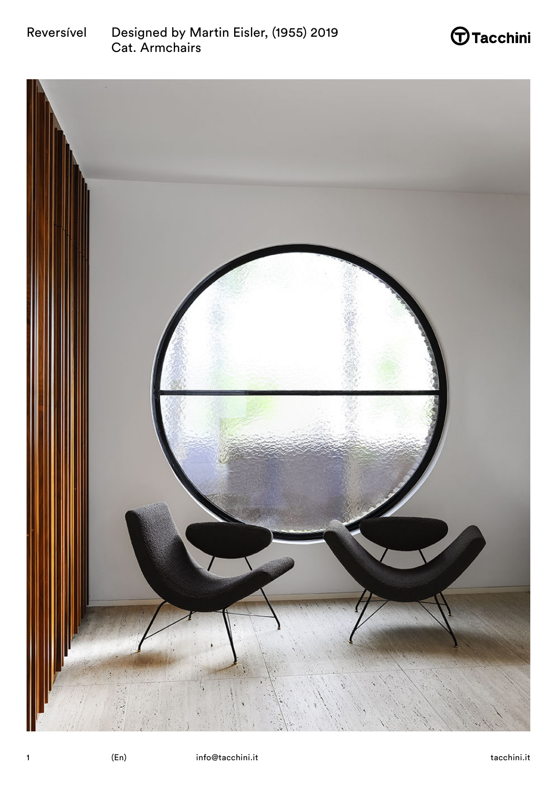



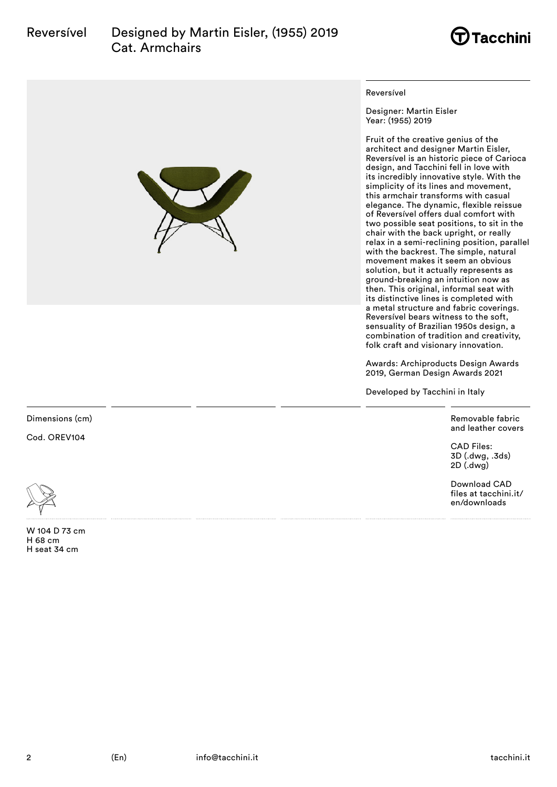



#### Reversível

Designer: Martin Eisler Year: (1955) 2019

Fruit of the creative genius of the architect and designer Martin Eisler, Reversível is an historic piece of Carioca design, and Tacchini fell in love with its incredibly innovative style. With the simplicity of its lines and movement, this armchair transforms with casual elegance. The dynamic, flexible reissue of Reversível offers dual comfort with two possible seat positions, to sit in the chair with the back upright, or really relax in a semi-reclining position, parallel with the backrest. The simple, natural movement makes it seem an obvious solution, but it actually represents as ground-breaking an intuition now as then. This original, informal seat with its distinctive lines is completed with a metal structure and fabric coverings. Reversível bears witness to the soft, sensuality of Brazilian 1950s design, a combination of tradition and creativity, folk craft and visionary innovation.

Awards: Archiproducts Design Awards 2019, German Design Awards 2021

Developed by Tacchini in Italy

Removable fabric and leather covers

CAD Files: 3D (.dwg, .3ds) 2D (.dwg)

Download CAD files at tacchini.it/ en/downloads

Dimensions (cm)

Cod. OREV104



W 104 D 73 cm H 68 cm H seat 34 cm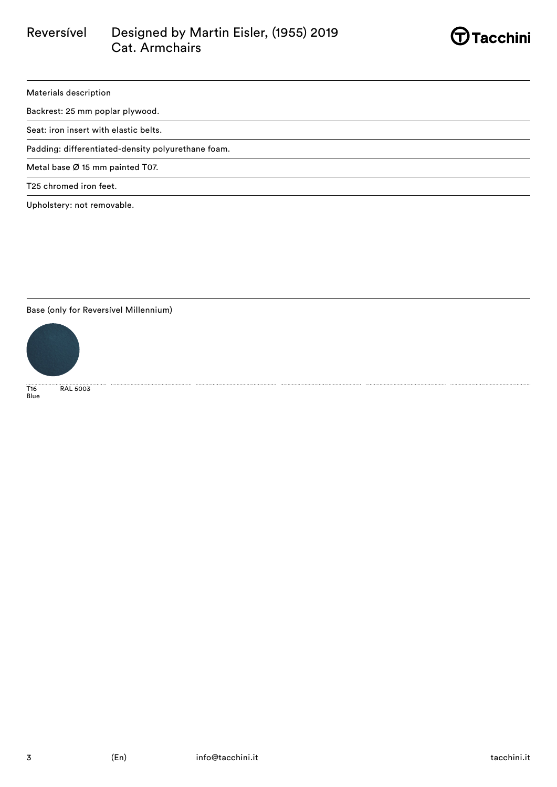

### Materials description

Backrest: 25 mm poplar plywood.

Seat: iron insert with elastic belts.

Padding: differentiated-density polyurethane foam.

Metal base Ø 15 mm painted T07.

T25 chromed iron feet.

Upholstery: not removable.

### Base (only for Reversível Millennium)



T16 RAL 5003 ...<br>Blue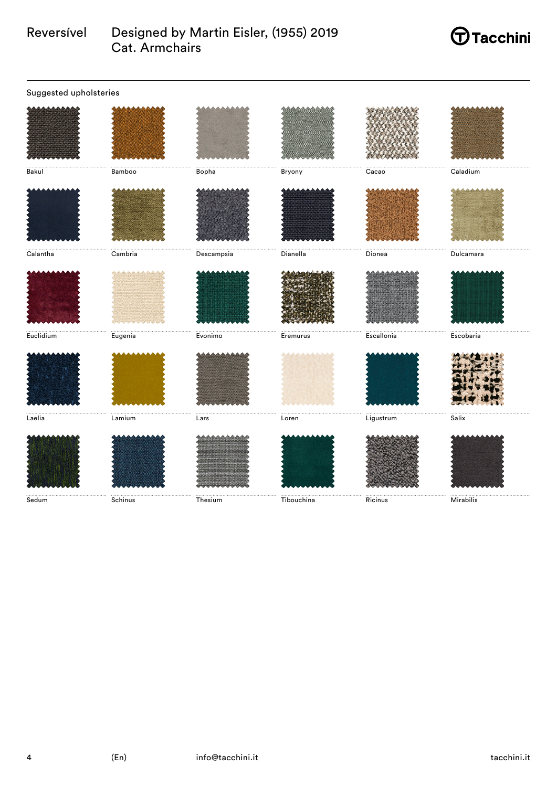# $\bigoplus$ Tacchini

| Suggested upholsteries |                 |            |                 |                                                                                                            |           |  |
|------------------------|-----------------|------------|-----------------|------------------------------------------------------------------------------------------------------------|-----------|--|
|                        |                 |            |                 |                                                                                                            |           |  |
| Bakul                  | Bamboo          | Bopha      | Bryony          | Cacao                                                                                                      | Caladium  |  |
|                        |                 |            |                 |                                                                                                            |           |  |
| Calantha               | $\sf Cambridge$ | Descampsia | <b>Dianella</b> | Dionea                                                                                                     | Dulcamara |  |
|                        |                 |            |                 |                                                                                                            |           |  |
| Euclidium              | Eugenia         | Evonimo    | Eremurus        | Escallonia                                                                                                 | Escobaria |  |
|                        |                 |            |                 |                                                                                                            |           |  |
| Laelia                 | Lamium          | Lars       | Loren           | $\begin{minipage}{.4\linewidth} \begin{tabular}{l} \hline \textbf{Ligustrum} \end{tabular} \end{minipage}$ | Salix     |  |
|                        |                 |            |                 |                                                                                                            |           |  |
| Sedum                  | Schinus         | Thesium    | Tibouchina      | Ricinus                                                                                                    | Mirabilis |  |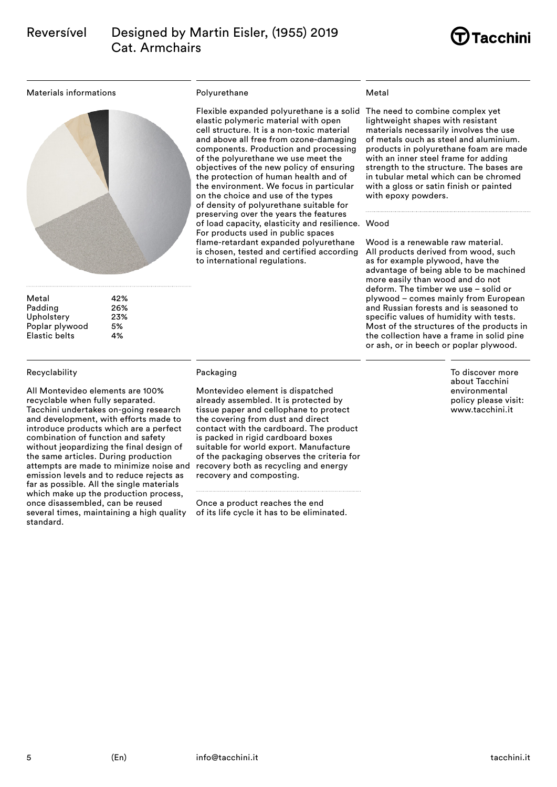

#### Materials informations



| Metal                | 42% |
|----------------------|-----|
| Padding              | 26% |
| Upholstery           | 23% |
| Poplar plywood       | 5%  |
| <b>Elastic belts</b> | 4%  |

#### Recyclability

All Montevideo elements are 100% recyclable when fully separated. Tacchini undertakes on-going research and development, with efforts made to introduce products which are a perfect combination of function and safety without jeopardizing the final design of the same articles. During production attempts are made to minimize noise and emission levels and to reduce rejects as far as possible. All the single materials which make up the production process, once disassembled, can be reused several times, maintaining a high quality standard.

#### Polyurethane

Flexible expanded polyurethane is a solid The need to combine complex yet elastic polymeric material with open cell structure. It is a non-toxic material and above all free from ozone-damaging components. Production and processing of the polyurethane we use meet the objectives of the new policy of ensuring the protection of human health and of the environment. We focus in particular on the choice and use of the types of density of polyurethane suitable for preserving over the years the features of load capacity, elasticity and resilience. Wood For products used in public spaces flame-retardant expanded polyurethane is chosen, tested and certified according to international regulations.

#### Metal

lightweight shapes with resistant materials necessarily involves the use of metals ouch as steel and aluminium. products in polyurethane foam are made with an inner steel frame for adding strength to the structure. The bases are in tubular metal which can be chromed with a gloss or satin finish or painted with epoxy powders.

Wood is a renewable raw material. All products derived from wood, such as for example plywood, have the advantage of being able to be machined more easily than wood and do not deform. The timber we use – solid or plywood – comes mainly from European and Russian forests and is seasoned to specific values of humidity with tests. Most of the structures of the products in the collection have a frame in solid pine or ash, or in beech or poplar plywood.

> To discover more about Tacchini environmental policy please visit: www.tacchini.it

### Packaging

Montevideo element is dispatched already assembled. It is protected by tissue paper and cellophane to protect the covering from dust and direct contact with the cardboard. The product is packed in rigid cardboard boxes suitable for world export. Manufacture of the packaging observes the criteria for recovery both as recycling and energy recovery and composting.

Once a product reaches the end of its life cycle it has to be eliminated.